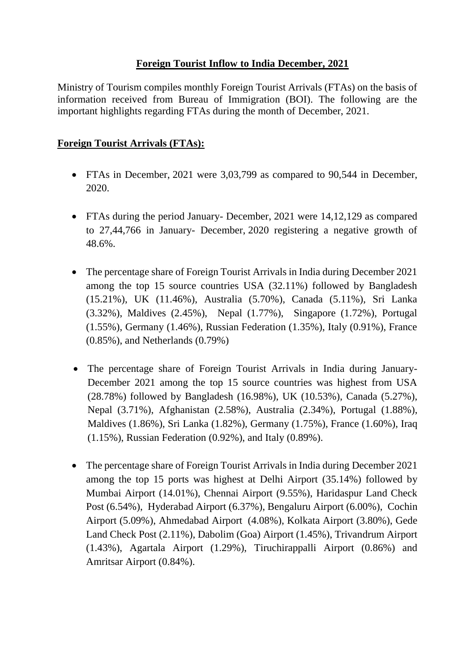## **Foreign Tourist Inflow to India December, 2021**

Ministry of Tourism compiles monthly Foreign Tourist Arrivals (FTAs) on the basis of information received from Bureau of Immigration (BOI). The following are the important highlights regarding FTAs during the month of December, 2021.

## **Foreign Tourist Arrivals (FTAs):**

- FTAs in December, 2021 were 3,03,799 as compared to 90,544 in December, 2020.
- FTAs during the period January- December, 2021 were 14,12,129 as compared to 27,44,766 in January- December, 2020 registering a negative growth of 48.6%.
- The percentage share of Foreign Tourist Arrivals in India during December 2021 among the top 15 source countries USA (32.11%) followed by Bangladesh (15.21%), UK (11.46%), Australia (5.70%), Canada (5.11%), Sri Lanka (3.32%), Maldives (2.45%), Nepal (1.77%), Singapore (1.72%), Portugal (1.55%), Germany (1.46%), Russian Federation (1.35%), Italy (0.91%), France (0.85%), and Netherlands (0.79%)
- The percentage share of Foreign Tourist Arrivals in India during January-December 2021 among the top 15 source countries was highest from USA (28.78%) followed by Bangladesh (16.98%), UK (10.53%), Canada (5.27%), Nepal (3.71%), Afghanistan (2.58%), Australia (2.34%), Portugal (1.88%), Maldives (1.86%), Sri Lanka (1.82%), Germany (1.75%), France (1.60%), Iraq (1.15%), Russian Federation (0.92%), and Italy (0.89%).
- The percentage share of Foreign Tourist Arrivals in India during December 2021 among the top 15 ports was highest at Delhi Airport (35.14%) followed by Mumbai Airport (14.01%), Chennai Airport (9.55%), Haridaspur Land Check Post (6.54%), Hyderabad Airport (6.37%), Bengaluru Airport (6.00%), Cochin Airport (5.09%), Ahmedabad Airport (4.08%), Kolkata Airport (3.80%), Gede Land Check Post (2.11%), Dabolim (Goa) Airport (1.45%), Trivandrum Airport (1.43%), Agartala Airport (1.29%), Tiruchirappalli Airport (0.86%) and Amritsar Airport (0.84%).